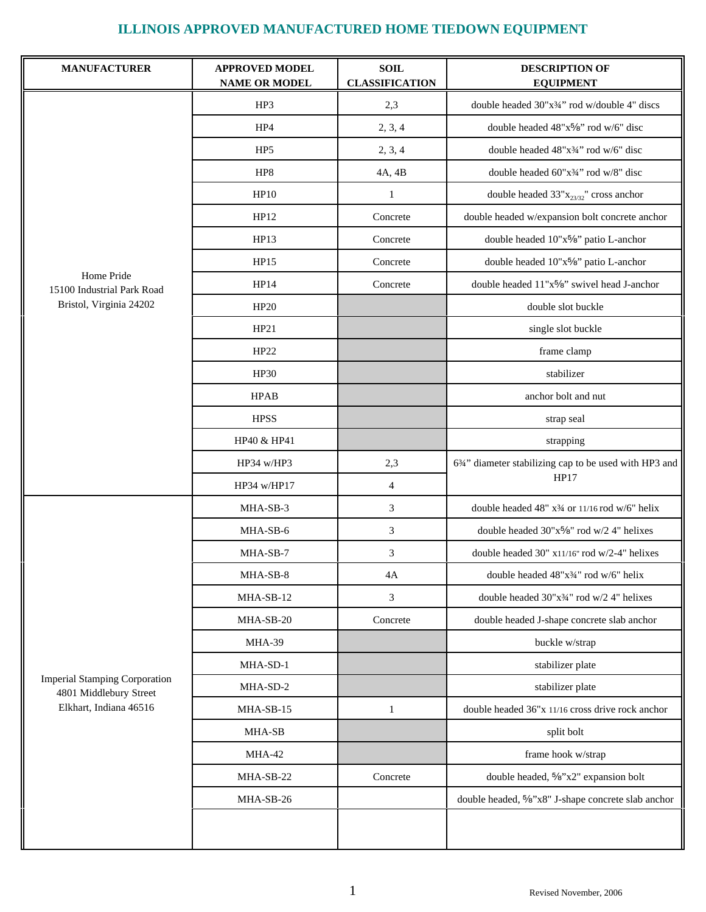| <b>MANUFACTURER</b>                                                                      | <b>APPROVED MODEL</b><br><b>NAME OR MODEL</b> | <b>SOIL</b><br><b>CLASSIFICATION</b> | <b>DESCRIPTION OF</b><br><b>EQUIPMENT</b>              |
|------------------------------------------------------------------------------------------|-----------------------------------------------|--------------------------------------|--------------------------------------------------------|
|                                                                                          | HP3                                           | 2,3                                  | double headed 30"x34" rod w/double 4" discs            |
|                                                                                          | HP4                                           | 2, 3, 4                              | double headed 48"x5/8" rod w/6" disc                   |
|                                                                                          | HP <sub>5</sub>                               | 2, 3, 4                              | double headed 48"x3/4" rod w/6" disc                   |
|                                                                                          | HP8                                           | 4A, 4B                               | double headed 60"x34" rod w/8" disc                    |
|                                                                                          | HP10                                          | $\mathbf{1}$                         | double headed $33"x_{23/32}"$ cross anchor             |
|                                                                                          | HP12                                          | Concrete                             | double headed w/expansion bolt concrete anchor         |
|                                                                                          | HP13                                          | Concrete                             | double headed 10"x5%" patio L-anchor                   |
|                                                                                          | HP15                                          | Concrete                             | double headed 10"x5%" patio L-anchor                   |
| Home Pride<br>15100 Industrial Park Road                                                 | HP14                                          | Concrete                             | double headed 11"x5/8" swivel head J-anchor            |
| Bristol, Virginia 24202                                                                  | HP20                                          |                                      | double slot buckle                                     |
|                                                                                          | HP21                                          |                                      | single slot buckle                                     |
|                                                                                          | HP22                                          |                                      | frame clamp                                            |
|                                                                                          | <b>HP30</b>                                   |                                      | stabilizer                                             |
|                                                                                          | <b>HPAB</b>                                   |                                      | anchor bolt and nut                                    |
|                                                                                          | <b>HPSS</b>                                   |                                      | strap seal                                             |
|                                                                                          | HP40 & HP41                                   |                                      | strapping                                              |
|                                                                                          | HP34 w/HP3                                    | 2,3                                  | 634" diameter stabilizing cap to be used with HP3 and  |
|                                                                                          | HP34 w/HP17                                   | $\overline{4}$                       | HP17                                                   |
|                                                                                          | MHA-SB-3                                      | 3                                    | double headed 48" x34 or 11/16 rod w/6" helix          |
|                                                                                          | MHA-SB-6                                      | 3                                    | double headed 30"x <sup>5</sup> /8" rod w/2 4" helixes |
|                                                                                          | MHA-SB-7                                      | $\mathfrak{Z}$                       | double headed 30" x11/16" rod w/2-4" helixes           |
|                                                                                          | MHA-SB-8                                      | 4А                                   | double headed $48"x\frac{3}{4}$ " rod w/6" helix       |
|                                                                                          | MHA-SB-12                                     | 3                                    | double headed 30"x34" rod w/2 4" helixes               |
|                                                                                          | MHA-SB-20                                     | Concrete                             | double headed J-shape concrete slab anchor             |
|                                                                                          | MHA-39                                        |                                      | buckle w/strap                                         |
|                                                                                          | MHA-SD-1                                      |                                      | stabilizer plate                                       |
| <b>Imperial Stamping Corporation</b><br>4801 Middlebury Street<br>Elkhart, Indiana 46516 | MHA-SD-2                                      |                                      | stabilizer plate                                       |
|                                                                                          | MHA-SB-15                                     | 1                                    | double headed 36"x 11/16 cross drive rock anchor       |
|                                                                                          | MHA-SB                                        |                                      | split bolt                                             |
|                                                                                          | MHA-42                                        |                                      | frame hook w/strap                                     |
|                                                                                          | MHA-SB-22                                     | Concrete                             | double headed, 5/8"x2" expansion bolt                  |
|                                                                                          | MHA-SB-26                                     |                                      | double headed, 5%"x8" J-shape concrete slab anchor     |
|                                                                                          |                                               |                                      |                                                        |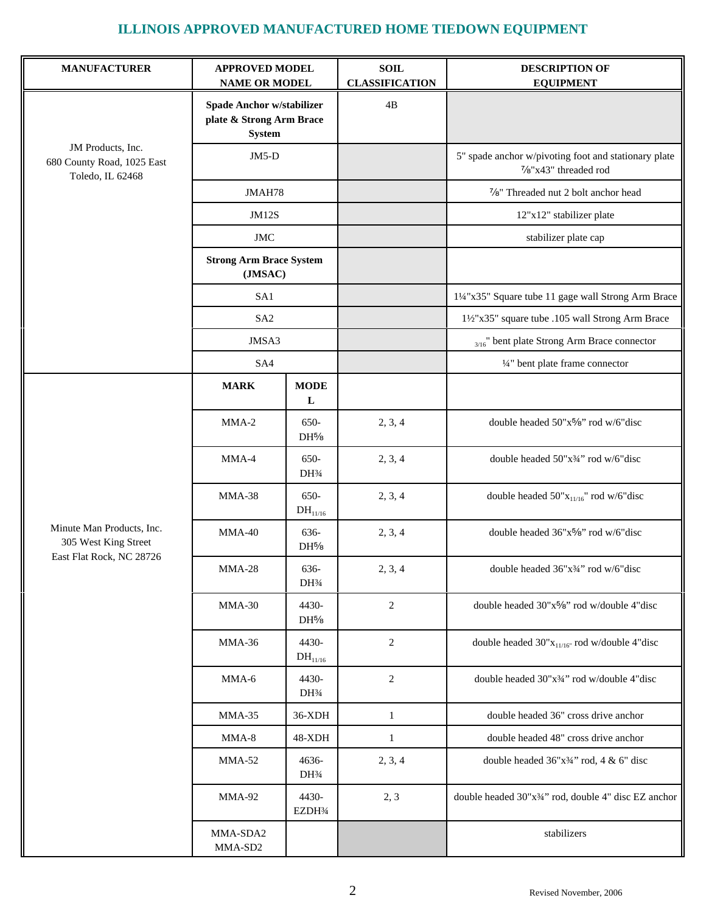| <b>MANUFACTURER</b>                                                           | <b>APPROVED MODEL</b><br><b>NAME OR MODEL</b>                          |                                         | <b>SOIL</b><br><b>CLASSIFICATION</b> | <b>DESCRIPTION OF</b><br><b>EQUIPMENT</b>                                     |
|-------------------------------------------------------------------------------|------------------------------------------------------------------------|-----------------------------------------|--------------------------------------|-------------------------------------------------------------------------------|
|                                                                               | Spade Anchor w/stabilizer<br>plate & Strong Arm Brace<br><b>System</b> |                                         | 4B                                   |                                                                               |
| JM Products, Inc.<br>680 County Road, 1025 East<br>Toledo, IL 62468           | $JM5-D$                                                                |                                         |                                      | 5" spade anchor w/pivoting foot and stationary plate<br>7/8"x43" threaded rod |
|                                                                               | JMAH78                                                                 |                                         |                                      | 7/8" Threaded nut 2 bolt anchor head                                          |
|                                                                               | <b>JM12S</b>                                                           |                                         |                                      | 12"x12" stabilizer plate                                                      |
|                                                                               | <b>JMC</b>                                                             |                                         |                                      | stabilizer plate cap                                                          |
|                                                                               | <b>Strong Arm Brace System</b><br>(JMSAC)                              |                                         |                                      |                                                                               |
|                                                                               | SA1                                                                    |                                         |                                      | 11/4"x35" Square tube 11 gage wall Strong Arm Brace                           |
|                                                                               | SA <sub>2</sub>                                                        |                                         |                                      | 11/2"x35" square tube .105 wall Strong Arm Brace                              |
|                                                                               | JMSA3                                                                  |                                         |                                      | $_{3/16}$ " bent plate Strong Arm Brace connector                             |
|                                                                               | SA4                                                                    |                                         |                                      | 1/4" bent plate frame connector                                               |
|                                                                               | <b>MARK</b>                                                            | <b>MODE</b><br>L                        |                                      |                                                                               |
|                                                                               | MMA-2                                                                  | 650-<br>$DH^{5/8}$                      | 2, 3, 4                              | double headed 50"x5/8" rod w/6"disc                                           |
| Minute Man Products, Inc.<br>305 West King Street<br>East Flat Rock, NC 28726 | MMA-4                                                                  | 650-<br>DH3/4                           | 2, 3, 4                              | double headed 50"x34" rod w/6"disc                                            |
|                                                                               | MMA-38                                                                 | 650-<br>$DH_{11/16}$                    | 2, 3, 4                              | double headed $50"\mathrm{x_{11/16}}"$ rod w/6"disc                           |
|                                                                               | $MMA-40$                                                               | 636-<br>DH <sup>5</sup> /8              | 2, 3, 4                              | double headed 36"x5%" rod w/6"disc                                            |
|                                                                               | <b>MMA-28</b>                                                          | 636-<br>DH <sup>3</sup> / <sub>4</sub>  | 2, 3, 4                              | double headed $36"x\frac{3}{4}$ " rod w/6" disc                               |
|                                                                               | $MMA-30$                                                               | 4430-<br>$DH^{5/8}$                     | $\overline{c}$                       | double headed 30"x5%" rod w/double 4"disc                                     |
|                                                                               | MMA-36                                                                 | 4430-<br>$DH_{11/16}$                   | $\overline{c}$                       | double headed $30"x_{11/16"}$ rod w/double 4"disc                             |
|                                                                               | MMA-6                                                                  | 4430-<br>DH <sup>3</sup> / <sub>4</sub> | $\overline{c}$                       | double headed 30"x <sup>3</sup> / <sub>4</sub> " rod w/double 4"disc          |
|                                                                               | $MMA-35$                                                               | 36-XDH                                  | $\mathbf{1}$                         | double headed 36" cross drive anchor                                          |
|                                                                               | $MMA-8$                                                                | 48-XDH                                  | 1                                    | double headed 48" cross drive anchor                                          |
|                                                                               | MMA-52                                                                 | 4636-<br>DH <sup>3</sup> / <sub>4</sub> | 2, 3, 4                              | double headed $36"x34"$ rod, $4 \& 6"$ disc                                   |
|                                                                               | MMA-92                                                                 | 4430-<br>EZDH3⁄4                        | 2, 3                                 | double headed 30"x34" rod, double 4" disc EZ anchor                           |
|                                                                               | MMA-SDA2<br>MMA-SD2                                                    |                                         |                                      | stabilizers                                                                   |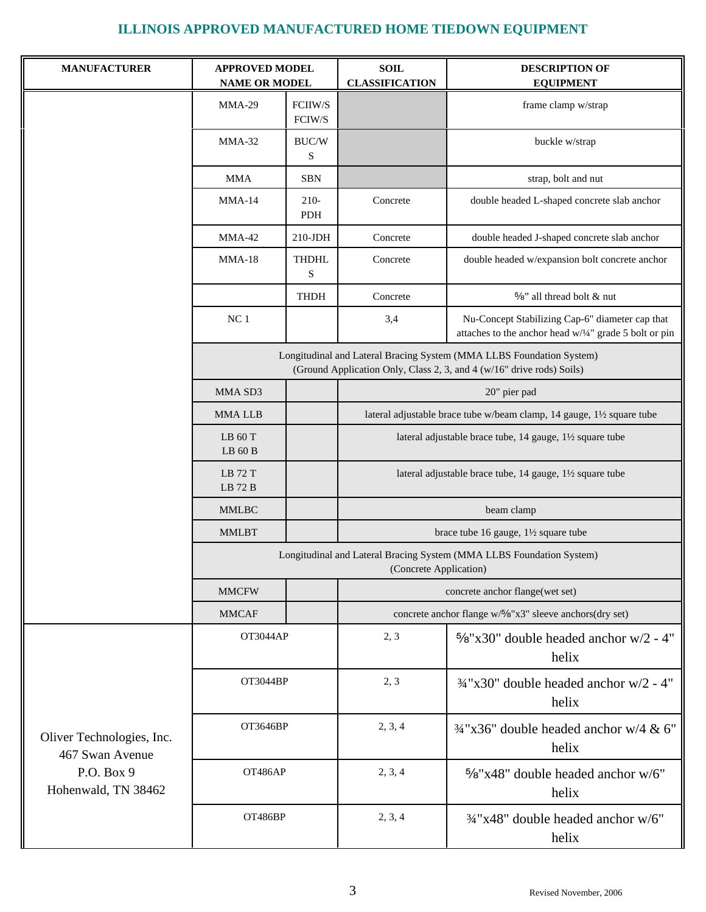| <b>MANUFACTURER</b>                                                               | <b>APPROVED MODEL</b><br><b>NAME OR MODEL</b>                                                  |                                                 | <b>SOIL</b><br><b>CLASSIFICATION</b> | <b>DESCRIPTION OF</b><br><b>EQUIPMENT</b>                                                                                                     |  |
|-----------------------------------------------------------------------------------|------------------------------------------------------------------------------------------------|-------------------------------------------------|--------------------------------------|-----------------------------------------------------------------------------------------------------------------------------------------------|--|
|                                                                                   | $MMA-29$                                                                                       | FCIIW/S<br>FCIW/S                               |                                      | frame clamp w/strap                                                                                                                           |  |
|                                                                                   | $MMA-32$                                                                                       | BUC/W<br>S                                      |                                      | buckle w/strap                                                                                                                                |  |
|                                                                                   | <b>MMA</b>                                                                                     | <b>SBN</b>                                      |                                      | strap, bolt and nut                                                                                                                           |  |
|                                                                                   | $MMA-14$                                                                                       | $210-$<br>PDH                                   | Concrete                             | double headed L-shaped concrete slab anchor                                                                                                   |  |
|                                                                                   | $MMA-42$                                                                                       | $210$ -JDH                                      | Concrete                             | double headed J-shaped concrete slab anchor                                                                                                   |  |
|                                                                                   | $MMA-18$                                                                                       | <b>THDHL</b><br>S                               | Concrete                             | double headed w/expansion bolt concrete anchor                                                                                                |  |
|                                                                                   |                                                                                                | <b>THDH</b>                                     | Concrete                             | %" all thread bolt & nut                                                                                                                      |  |
|                                                                                   | NC <sub>1</sub>                                                                                |                                                 | 3,4                                  | Nu-Concept Stabilizing Cap-6" diameter cap that<br>attaches to the anchor head w/1/4" grade 5 bolt or pin                                     |  |
|                                                                                   |                                                                                                |                                                 |                                      | Longitudinal and Lateral Bracing System (MMA LLBS Foundation System)<br>(Ground Application Only, Class 2, 3, and 4 (w/16" drive rods) Soils) |  |
|                                                                                   | MMA SD3                                                                                        |                                                 |                                      | 20" pier pad                                                                                                                                  |  |
|                                                                                   | <b>MMALLB</b>                                                                                  |                                                 |                                      | lateral adjustable brace tube w/beam clamp, 14 gauge, 11/2 square tube                                                                        |  |
|                                                                                   | LB 60 T<br>$LB$ 60 $B$                                                                         |                                                 |                                      | lateral adjustable brace tube, 14 gauge, 11/2 square tube                                                                                     |  |
|                                                                                   | LB 72 T<br>LB 72 B                                                                             |                                                 |                                      | lateral adjustable brace tube, 14 gauge, 11/2 square tube                                                                                     |  |
|                                                                                   | $\mathbf{MMLBC}$                                                                               |                                                 |                                      | beam clamp                                                                                                                                    |  |
|                                                                                   | <b>MMLBT</b>                                                                                   | brace tube 16 gauge, $1\frac{1}{2}$ square tube |                                      |                                                                                                                                               |  |
|                                                                                   | Longitudinal and Lateral Bracing System (MMA LLBS Foundation System)<br>(Concrete Application) |                                                 |                                      |                                                                                                                                               |  |
|                                                                                   | <b>MMCFW</b>                                                                                   |                                                 | concrete anchor flange(wet set)      |                                                                                                                                               |  |
|                                                                                   | <b>MMCAF</b>                                                                                   |                                                 |                                      | concrete anchor flange w/%"x3" sleeve anchors(dry set)                                                                                        |  |
|                                                                                   | OT3044AP                                                                                       |                                                 | 2, 3                                 | $5/8$ "x30" double headed anchor w/2 - 4"<br>helix                                                                                            |  |
| Oliver Technologies, Inc.<br>467 Swan Avenue<br>P.O. Box 9<br>Hohenwald, TN 38462 | OT3044BP                                                                                       |                                                 | 2, 3                                 | $34"x30"$ double headed anchor w/2 - 4"<br>helix                                                                                              |  |
|                                                                                   | OT3646BP                                                                                       |                                                 | 2, 3, 4                              | $\frac{3}{4}$ "x36" double headed anchor w/4 & 6"<br>helix                                                                                    |  |
|                                                                                   | OT486AP                                                                                        |                                                 | 2, 3, 4                              | 5/8"x48" double headed anchor w/6"<br>helix                                                                                                   |  |
|                                                                                   | OT486BP                                                                                        |                                                 | 2, 3, 4                              | 3/4"x48" double headed anchor w/6"<br>helix                                                                                                   |  |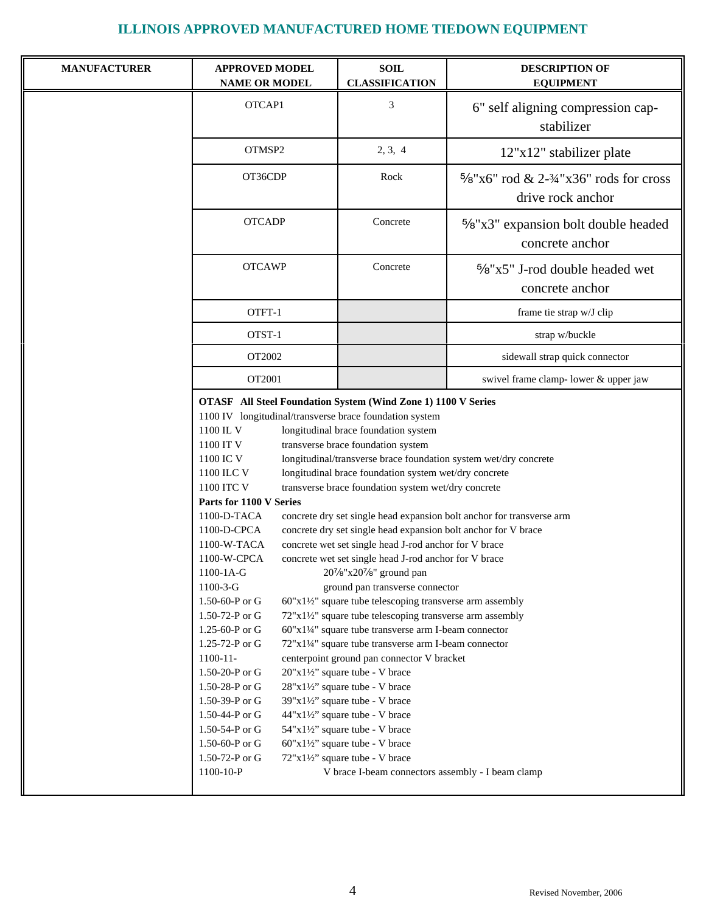| <b>MANUFACTURER</b> | <b>APPROVED MODEL</b><br><b>NAME OR MODEL</b>                                                                                                                                                                                                                                                                                                                                                                                                                                                                                                          | <b>SOIL</b><br><b>CLASSIFICATION</b>                                                                                                                                                                                                                                                                                                                                                                                                                                                                                                                                                                                                                                                                                                                                                                                                                                                                                                                                                                                                                                                                                                                      | <b>DESCRIPTION OF</b><br><b>EQUIPMENT</b>                               |
|---------------------|--------------------------------------------------------------------------------------------------------------------------------------------------------------------------------------------------------------------------------------------------------------------------------------------------------------------------------------------------------------------------------------------------------------------------------------------------------------------------------------------------------------------------------------------------------|-----------------------------------------------------------------------------------------------------------------------------------------------------------------------------------------------------------------------------------------------------------------------------------------------------------------------------------------------------------------------------------------------------------------------------------------------------------------------------------------------------------------------------------------------------------------------------------------------------------------------------------------------------------------------------------------------------------------------------------------------------------------------------------------------------------------------------------------------------------------------------------------------------------------------------------------------------------------------------------------------------------------------------------------------------------------------------------------------------------------------------------------------------------|-------------------------------------------------------------------------|
|                     | OTCAP1                                                                                                                                                                                                                                                                                                                                                                                                                                                                                                                                                 | 3                                                                                                                                                                                                                                                                                                                                                                                                                                                                                                                                                                                                                                                                                                                                                                                                                                                                                                                                                                                                                                                                                                                                                         | 6" self aligning compression cap-<br>stabilizer                         |
|                     | OTMSP2                                                                                                                                                                                                                                                                                                                                                                                                                                                                                                                                                 | 2, 3, 4                                                                                                                                                                                                                                                                                                                                                                                                                                                                                                                                                                                                                                                                                                                                                                                                                                                                                                                                                                                                                                                                                                                                                   | 12"x12" stabilizer plate                                                |
|                     | OT36CDP                                                                                                                                                                                                                                                                                                                                                                                                                                                                                                                                                | Rock                                                                                                                                                                                                                                                                                                                                                                                                                                                                                                                                                                                                                                                                                                                                                                                                                                                                                                                                                                                                                                                                                                                                                      | $\frac{5}{8}$ "x6" rod & 2-3/4"x36" rods for cross<br>drive rock anchor |
|                     | <b>OTCADP</b>                                                                                                                                                                                                                                                                                                                                                                                                                                                                                                                                          | Concrete                                                                                                                                                                                                                                                                                                                                                                                                                                                                                                                                                                                                                                                                                                                                                                                                                                                                                                                                                                                                                                                                                                                                                  | $\frac{5}{8}$ "x3" expansion bolt double headed<br>concrete anchor      |
|                     | <b>OTCAWP</b>                                                                                                                                                                                                                                                                                                                                                                                                                                                                                                                                          | Concrete                                                                                                                                                                                                                                                                                                                                                                                                                                                                                                                                                                                                                                                                                                                                                                                                                                                                                                                                                                                                                                                                                                                                                  | 5%"x5" J-rod double headed wet<br>concrete anchor                       |
|                     | OTFT-1                                                                                                                                                                                                                                                                                                                                                                                                                                                                                                                                                 |                                                                                                                                                                                                                                                                                                                                                                                                                                                                                                                                                                                                                                                                                                                                                                                                                                                                                                                                                                                                                                                                                                                                                           | frame tie strap w/J clip                                                |
|                     | OTST-1                                                                                                                                                                                                                                                                                                                                                                                                                                                                                                                                                 |                                                                                                                                                                                                                                                                                                                                                                                                                                                                                                                                                                                                                                                                                                                                                                                                                                                                                                                                                                                                                                                                                                                                                           | strap w/buckle                                                          |
|                     | OT2002                                                                                                                                                                                                                                                                                                                                                                                                                                                                                                                                                 |                                                                                                                                                                                                                                                                                                                                                                                                                                                                                                                                                                                                                                                                                                                                                                                                                                                                                                                                                                                                                                                                                                                                                           | sidewall strap quick connector                                          |
|                     | OT2001                                                                                                                                                                                                                                                                                                                                                                                                                                                                                                                                                 |                                                                                                                                                                                                                                                                                                                                                                                                                                                                                                                                                                                                                                                                                                                                                                                                                                                                                                                                                                                                                                                                                                                                                           | swivel frame clamp- lower & upper jaw                                   |
|                     | <b>OTASF</b> All Steel Foundation System (Wind Zone 1) 1100 V Series<br>1100 IV longitudinal/transverse brace foundation system<br>1100 IL V<br>1100 IT V<br>1100 IC V<br>1100 ILC V<br>1100 ITC V<br>Parts for 1100 V Series<br>1100-D-TACA<br>1100-D-CPCA<br>1100-W-TACA<br>1100-W-CPCA<br>1100-1A-G<br>$1100-3-G$<br>1.50-60-P or G<br>1.50-72-P or G<br>1.25-60-P or G<br>1.25-72-P or G<br>$1100 - 11$<br>1.50-20-P or G<br>1.50-28-P or G<br>1.50-39-P or G<br>1.50-44-P or G<br>1.50-54-P or G<br>1.50-60-P or G<br>1.50-72-P or G<br>1100-10-P | longitudinal brace foundation system<br>transverse brace foundation system<br>longitudinal/transverse brace foundation system wet/dry concrete<br>longitudinal brace foundation system wet/dry concrete<br>transverse brace foundation system wet/dry concrete<br>concrete dry set single head expansion bolt anchor for V brace<br>concrete wet set single head J-rod anchor for V brace<br>concrete wet set single head J-rod anchor for V brace<br>207/8"x207/8" ground pan<br>ground pan transverse connector<br>$60"x1\frac{1}{2}$ square tube telescoping transverse arm assembly<br>72"x1½" square tube telescoping transverse arm assembly<br>$60"x1'4"$ square tube transverse arm I-beam connector<br>72"x11/4" square tube transverse arm I-beam connector<br>centerpoint ground pan connector V bracket<br>$20"x1'2"$ square tube - V brace<br>$28"x1'2"$ square tube - V brace<br>39"x1½" square tube - V brace<br>$44"x1'\frac{1}{2}$ square tube - V brace<br>$54"x1'2"$ square tube - V brace<br>$60"x1'\frac{1}{2}$ square tube - V brace<br>$72"x1'\prime2"$ square tube - V brace<br>V brace I-beam connectors assembly - I beam clamp | concrete dry set single head expansion bolt anchor for transverse arm   |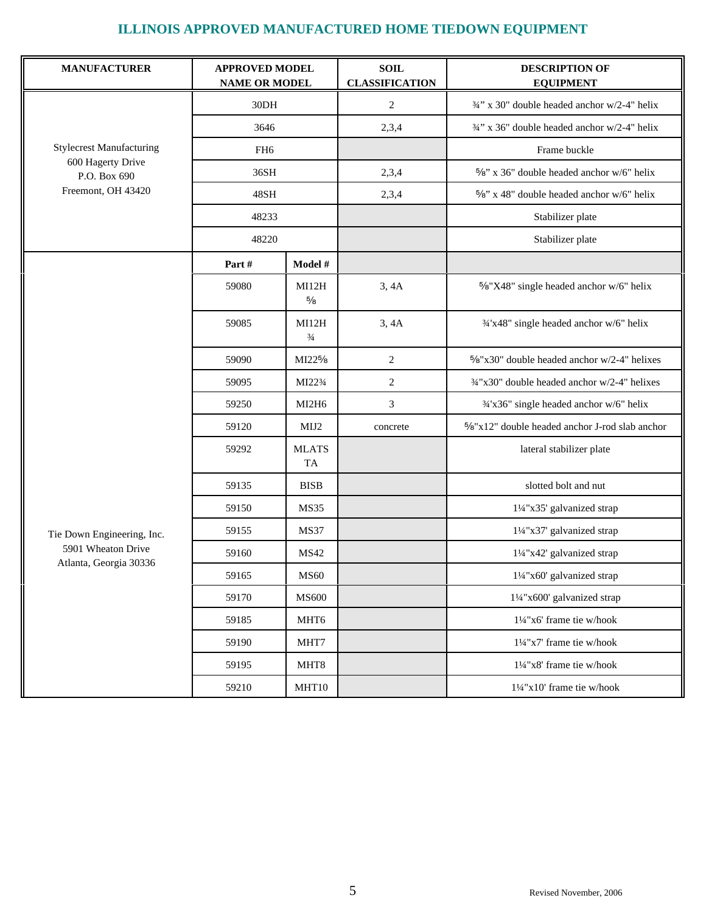| <b>MANUFACTURER</b>               | <b>APPROVED MODEL</b><br><b>NAME OR MODEL</b> |                           | <b>SOIL</b><br><b>CLASSIFICATION</b> | <b>DESCRIPTION OF</b><br><b>EQUIPMENT</b>               |
|-----------------------------------|-----------------------------------------------|---------------------------|--------------------------------------|---------------------------------------------------------|
|                                   | 30DH                                          |                           | $\overline{2}$                       | 3/4" x 30" double headed anchor w/2-4" helix            |
|                                   | 3646                                          |                           | 2,3,4                                | 3/4" x 36" double headed anchor w/2-4" helix            |
| <b>Stylecrest Manufacturing</b>   | FH <sub>6</sub>                               |                           |                                      | Frame buckle                                            |
| 600 Hagerty Drive<br>P.O. Box 690 | 36SH                                          |                           | 2,3,4                                | 5/8" x 36" double headed anchor w/6" helix              |
| Freemont, OH 43420                | 48SH                                          |                           | 2,3,4                                | $5/8$ " x 48" double headed anchor w/6" helix           |
|                                   | 48233                                         |                           |                                      | Stabilizer plate                                        |
|                                   | 48220                                         |                           |                                      | Stabilizer plate                                        |
|                                   | Part#                                         | Model #                   |                                      |                                                         |
|                                   | 59080                                         | MI12H<br>$5/8$            | 3,4A                                 | 5%"X48" single headed anchor w/6" helix                 |
|                                   | 59085                                         | MI12H<br>$\frac{3}{4}$    | 3,4A                                 | 3/4'x48" single headed anchor w/6" helix                |
|                                   | 59090                                         | MI22 <sup>5</sup> /8      | $\overline{2}$                       | $\frac{5}{8}$ "x30" double headed anchor w/2-4" helixes |
|                                   | 59095                                         | MI223/4                   | $\overline{2}$                       | 3/4"x30" double headed anchor w/2-4" helixes            |
|                                   | 59250                                         | MI2H6                     | 3                                    | 3/4'x36" single headed anchor w/6" helix                |
|                                   | 59120                                         | MIJ2                      | concrete                             | 5%"x12" double headed anchor J-rod slab anchor          |
|                                   | 59292                                         | <b>MLATS</b><br><b>TA</b> |                                      | lateral stabilizer plate                                |
|                                   | 59135                                         | <b>BISB</b>               |                                      | slotted bolt and nut                                    |
|                                   | 59150                                         | <b>MS35</b>               |                                      | 11/4"x35' galvanized strap                              |
| Tie Down Engineering, Inc.        | 59155                                         | <b>MS37</b>               |                                      | 11/4"x37' galvanized strap                              |
| 5901 Wheaton Drive                | 59160                                         | <b>MS42</b>               |                                      | 11/4"x42' galvanized strap                              |
| Atlanta, Georgia 30336            | 59165                                         | <b>MS60</b>               |                                      | 11/4"x60' galvanized strap                              |
|                                   | 59170                                         | <b>MS600</b>              |                                      | 11/4"x600' galvanized strap                             |
|                                   | 59185                                         | MHT6                      |                                      | 11/4"x6' frame tie w/hook                               |
|                                   | 59190                                         | MHT7                      |                                      | 11/4"x7' frame tie w/hook                               |
|                                   | 59195                                         | MHT8                      |                                      | 11/4"x8' frame tie w/hook                               |
|                                   | 59210                                         | MHT10                     |                                      | 11/4"x10' frame tie w/hook                              |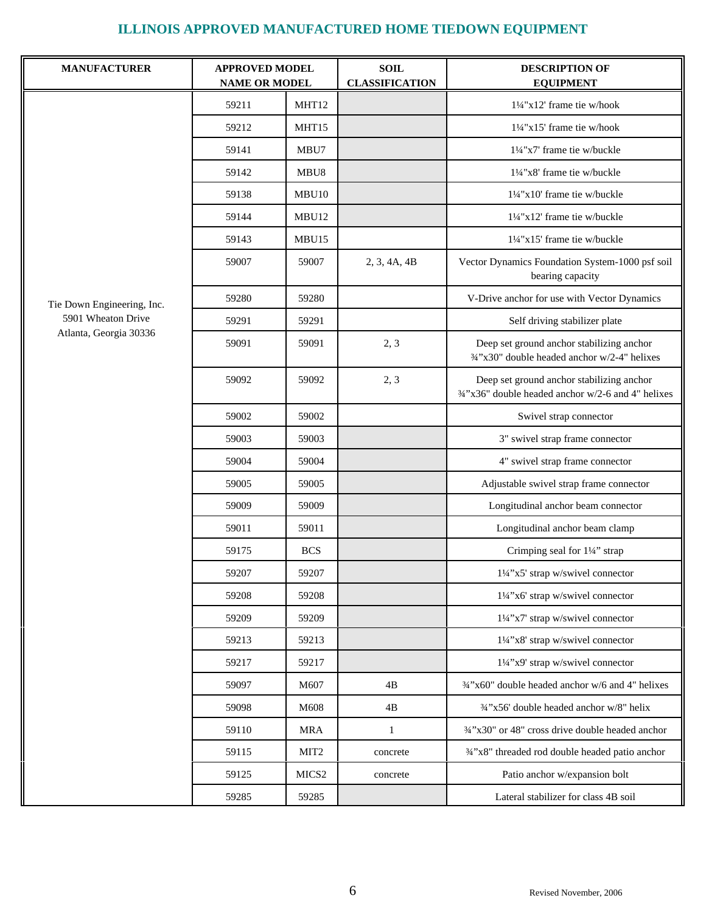| <b>MANUFACTURER</b>        | <b>APPROVED MODEL</b><br><b>NAME OR MODEL</b> |                   | <b>SOIL</b><br><b>CLASSIFICATION</b> | <b>DESCRIPTION OF</b><br><b>EQUIPMENT</b>                                                       |
|----------------------------|-----------------------------------------------|-------------------|--------------------------------------|-------------------------------------------------------------------------------------------------|
|                            | 59211                                         | MHT12             |                                      | 11/4"x12' frame tie w/hook                                                                      |
|                            | 59212                                         | MHT15             |                                      | 11/4"x15' frame tie w/hook                                                                      |
|                            | 59141                                         | MBU7              |                                      | 11/4"x7' frame tie w/buckle                                                                     |
|                            | 59142                                         | MBU8              |                                      | 11/4"x8' frame tie w/buckle                                                                     |
|                            | 59138                                         | MBU <sub>10</sub> |                                      | $1\frac{1}{4}$ "x10' frame tie w/buckle                                                         |
|                            | 59144                                         | MBU12             |                                      | 11/4"x12' frame tie w/buckle                                                                    |
|                            | 59143                                         | MBU15             |                                      | $1\frac{1}{4}$ "x15' frame tie w/buckle                                                         |
|                            | 59007                                         | 59007             | 2, 3, 4A, 4B                         | Vector Dynamics Foundation System-1000 psf soil<br>bearing capacity                             |
| Tie Down Engineering, Inc. | 59280                                         | 59280             |                                      | V-Drive anchor for use with Vector Dynamics                                                     |
| 5901 Wheaton Drive         | 59291                                         | 59291             |                                      | Self driving stabilizer plate                                                                   |
| Atlanta, Georgia 30336     | 59091                                         | 59091             | 2, 3                                 | Deep set ground anchor stabilizing anchor<br>3/4"x30" double headed anchor w/2-4" helixes       |
|                            | 59092                                         | 59092             | 2, 3                                 | Deep set ground anchor stabilizing anchor<br>3/4"x36" double headed anchor w/2-6 and 4" helixes |
|                            | 59002                                         | 59002             |                                      | Swivel strap connector                                                                          |
|                            | 59003                                         | 59003             |                                      | 3" swivel strap frame connector                                                                 |
|                            | 59004                                         | 59004             |                                      | 4" swivel strap frame connector                                                                 |
|                            | 59005                                         | 59005             |                                      | Adjustable swivel strap frame connector                                                         |
|                            | 59009                                         | 59009             |                                      | Longitudinal anchor beam connector                                                              |
|                            | 59011                                         | 59011             |                                      | Longitudinal anchor beam clamp                                                                  |
|                            | 59175                                         | <b>BCS</b>        |                                      | Crimping seal for 11/4" strap                                                                   |
|                            | 59207                                         | 59207             |                                      | 11/4"x5' strap w/swivel connector                                                               |
|                            | 59208                                         | 59208             |                                      | 11/4"x6' strap w/swivel connector                                                               |
|                            | 59209                                         | 59209             |                                      | 11/4"x7' strap w/swivel connector                                                               |
|                            | 59213                                         | 59213             |                                      | 11/4"x8' strap w/swivel connector                                                               |
|                            | 59217                                         | 59217             |                                      | 11/4"x9' strap w/swivel connector                                                               |
|                            | 59097                                         | M607              | 4B                                   | 3/4"x60" double headed anchor w/6 and 4" helixes                                                |
|                            | 59098                                         | M608              | 4B                                   | 3/4"x56' double headed anchor w/8" helix                                                        |
|                            | 59110                                         | <b>MRA</b>        | $\mathbf{1}$                         | 3/4"x30" or 48" cross drive double headed anchor                                                |
|                            | 59115                                         | MIT <sub>2</sub>  | concrete                             | 3/4"x8" threaded rod double headed patio anchor                                                 |
|                            | 59125                                         | MICS <sub>2</sub> | concrete                             | Patio anchor w/expansion bolt                                                                   |
|                            | 59285                                         | 59285             |                                      | Lateral stabilizer for class 4B soil                                                            |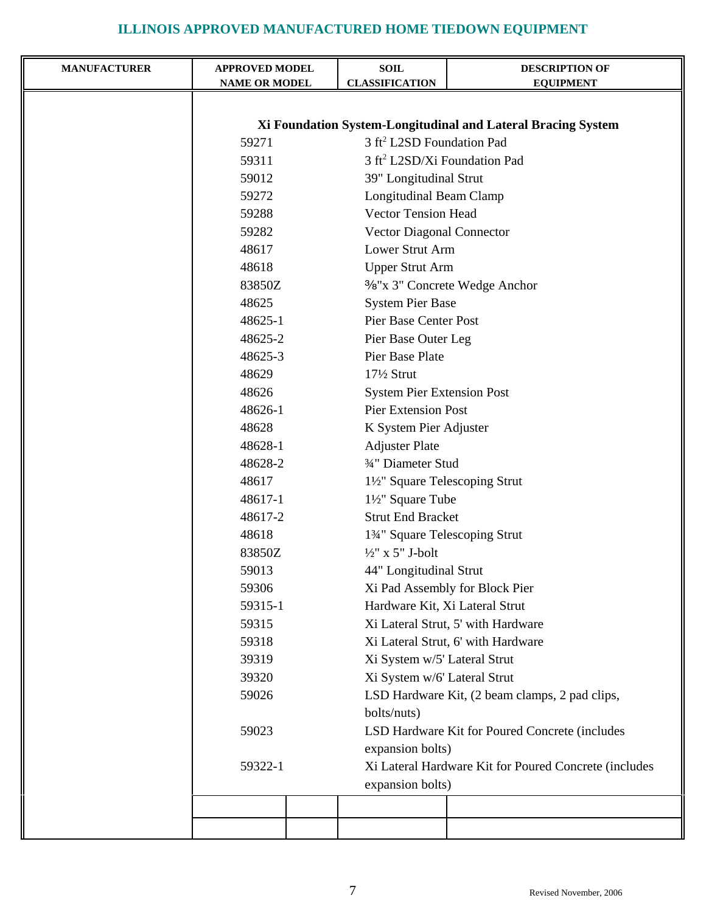| <b>MANUFACTURER</b> | <b>APPROVED MODEL</b><br><b>NAME OR MODEL</b>                                                                  | <b>SOIL</b><br><b>CLASSIFICATION</b>                                                                                        | <b>DESCRIPTION OF</b><br><b>EQUIPMENT</b>      |  |  |
|---------------------|----------------------------------------------------------------------------------------------------------------|-----------------------------------------------------------------------------------------------------------------------------|------------------------------------------------|--|--|
|                     |                                                                                                                |                                                                                                                             |                                                |  |  |
|                     |                                                                                                                |                                                                                                                             |                                                |  |  |
|                     | Xi Foundation System-Longitudinal and Lateral Bracing System<br>3 ft <sup>2</sup> L2SD Foundation Pad<br>59271 |                                                                                                                             |                                                |  |  |
|                     | 59311                                                                                                          |                                                                                                                             |                                                |  |  |
|                     | 59012                                                                                                          | 3 ft <sup>2</sup> L2SD/Xi Foundation Pad                                                                                    |                                                |  |  |
|                     | 59272                                                                                                          | 39" Longitudinal Strut                                                                                                      |                                                |  |  |
|                     | 59288                                                                                                          | <b>Longitudinal Beam Clamp</b><br><b>Vector Tension Head</b>                                                                |                                                |  |  |
|                     | 59282                                                                                                          |                                                                                                                             |                                                |  |  |
|                     | 48617                                                                                                          | Vector Diagonal Connector<br>Lower Strut Arm                                                                                |                                                |  |  |
|                     | 48618                                                                                                          |                                                                                                                             |                                                |  |  |
|                     | 83850Z                                                                                                         | <b>Upper Strut Arm</b><br><sup>3</sup> / <sub>8</sub> "x 3" Concrete Wedge Anchor                                           |                                                |  |  |
|                     | 48625                                                                                                          | <b>System Pier Base</b>                                                                                                     |                                                |  |  |
|                     | 48625-1                                                                                                        | Pier Base Center Post                                                                                                       |                                                |  |  |
|                     | 48625-2                                                                                                        |                                                                                                                             |                                                |  |  |
|                     | 48625-3                                                                                                        | Pier Base Outer Leg<br>Pier Base Plate                                                                                      |                                                |  |  |
|                     | 48629                                                                                                          | 17½ Strut                                                                                                                   |                                                |  |  |
|                     | 48626                                                                                                          | <b>System Pier Extension Post</b>                                                                                           |                                                |  |  |
|                     | 48626-1                                                                                                        | <b>Pier Extension Post</b>                                                                                                  |                                                |  |  |
|                     | 48628                                                                                                          | K System Pier Adjuster                                                                                                      |                                                |  |  |
|                     | 48628-1                                                                                                        | <b>Adjuster Plate</b>                                                                                                       |                                                |  |  |
|                     | 48628-2                                                                                                        | 3/4" Diameter Stud                                                                                                          |                                                |  |  |
|                     | 48617                                                                                                          | 1½" Square Telescoping Strut                                                                                                |                                                |  |  |
|                     | 48617-1                                                                                                        | 1½" Square Tube                                                                                                             |                                                |  |  |
|                     | 48617-2                                                                                                        | <b>Strut End Bracket</b>                                                                                                    |                                                |  |  |
|                     | 48618                                                                                                          | 134" Square Telescoping Strut                                                                                               |                                                |  |  |
|                     | 83850Z                                                                                                         | $\frac{1}{2}$ " x 5" J-bolt                                                                                                 |                                                |  |  |
|                     | 59013                                                                                                          | 44" Longitudinal Strut                                                                                                      |                                                |  |  |
|                     | 59306                                                                                                          |                                                                                                                             | Xi Pad Assembly for Block Pier                 |  |  |
|                     | 59315-1                                                                                                        | Hardware Kit, Xi Lateral Strut                                                                                              |                                                |  |  |
|                     | 59315                                                                                                          |                                                                                                                             | Xi Lateral Strut, 5' with Hardware             |  |  |
|                     | 59318                                                                                                          |                                                                                                                             | Xi Lateral Strut, 6' with Hardware             |  |  |
|                     | 39319                                                                                                          | Xi System w/5' Lateral Strut                                                                                                |                                                |  |  |
|                     | 39320                                                                                                          | Xi System w/6' Lateral Strut                                                                                                |                                                |  |  |
|                     | 59026                                                                                                          |                                                                                                                             | LSD Hardware Kit, (2 beam clamps, 2 pad clips, |  |  |
|                     |                                                                                                                | bolts/nuts)                                                                                                                 |                                                |  |  |
|                     | 59023                                                                                                          | LSD Hardware Kit for Poured Concrete (includes<br>expansion bolts)<br>Xi Lateral Hardware Kit for Poured Concrete (includes |                                                |  |  |
|                     |                                                                                                                |                                                                                                                             |                                                |  |  |
|                     | 59322-1                                                                                                        |                                                                                                                             |                                                |  |  |
|                     |                                                                                                                | expansion bolts)                                                                                                            |                                                |  |  |
|                     |                                                                                                                |                                                                                                                             |                                                |  |  |
|                     |                                                                                                                |                                                                                                                             |                                                |  |  |